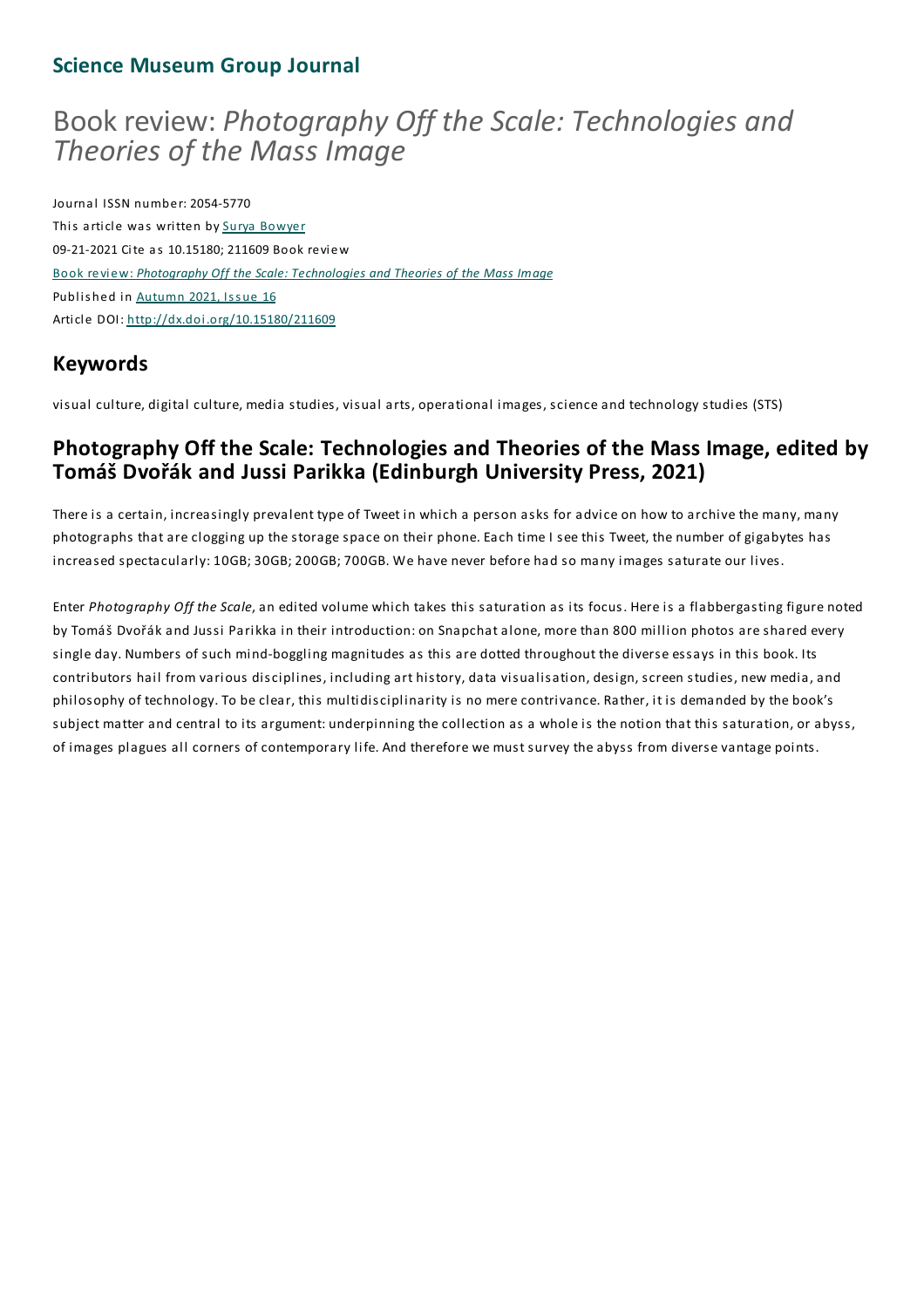### **Science Museum Group Journal**

# Book review: *Photography Off the Scale: Technologies and Theories of the Mass Image*

Journal ISSN number: 2054-5770 This article was written by Surya Bowyer 09-21-2021 Cite as 10.15180; 211609 Book review Book review: *Photography Off the Scale: Technologies and Theories of the Mass Image* Published in Autumn 2021, Issue 16 Article DOI: http://dx.doi.org/10.15180/211609

# **Keywords**

visual culture, digital culture, media studies, visual arts, operational images, science and technology studies (STS)

## **Photography Off the Scale: Technologies and Theories of the Mass Image, edited by Tomáš Dvořák and Jussi Parikka (Edinburgh University Press, 2021)**

There is a certain, increasingly prevalent type of Tweet in which a person asks for advice on how to archive the many, many photographs that are clogging up the storage space on their phone. Each time I see this Tweet, the number of gigabytes has increased spectacularly: 10GB; 30GB; 200GB; 700GB. We have never before had so many images saturate our lives.

Enter *Photography Off the Scale*, an edited volume which takes this saturation as its focus. Here is a flabbergasting figure noted by Tomáš Dvořák and Jussi Parikka in their introduction: on Snapchat alone, more than 800 million photos are shared every single day. Numbers of such mind-boggling magnitudes as this are dotted throughout the diverse essays in this book. Its contributors hail from various disciplines, including art history, data visualisation, design, screen studies, new media, and philosophy of technology.To be clear, this multidisciplinarity is no mere contrivance. Rather, it is demanded by the book's subject matter and central to its argument: underpinning the collection as a whole is the notion that this saturation, or abyss, of images plagues all corners of contemporary life. And therefore we must survey the abyss from diverse vantage points.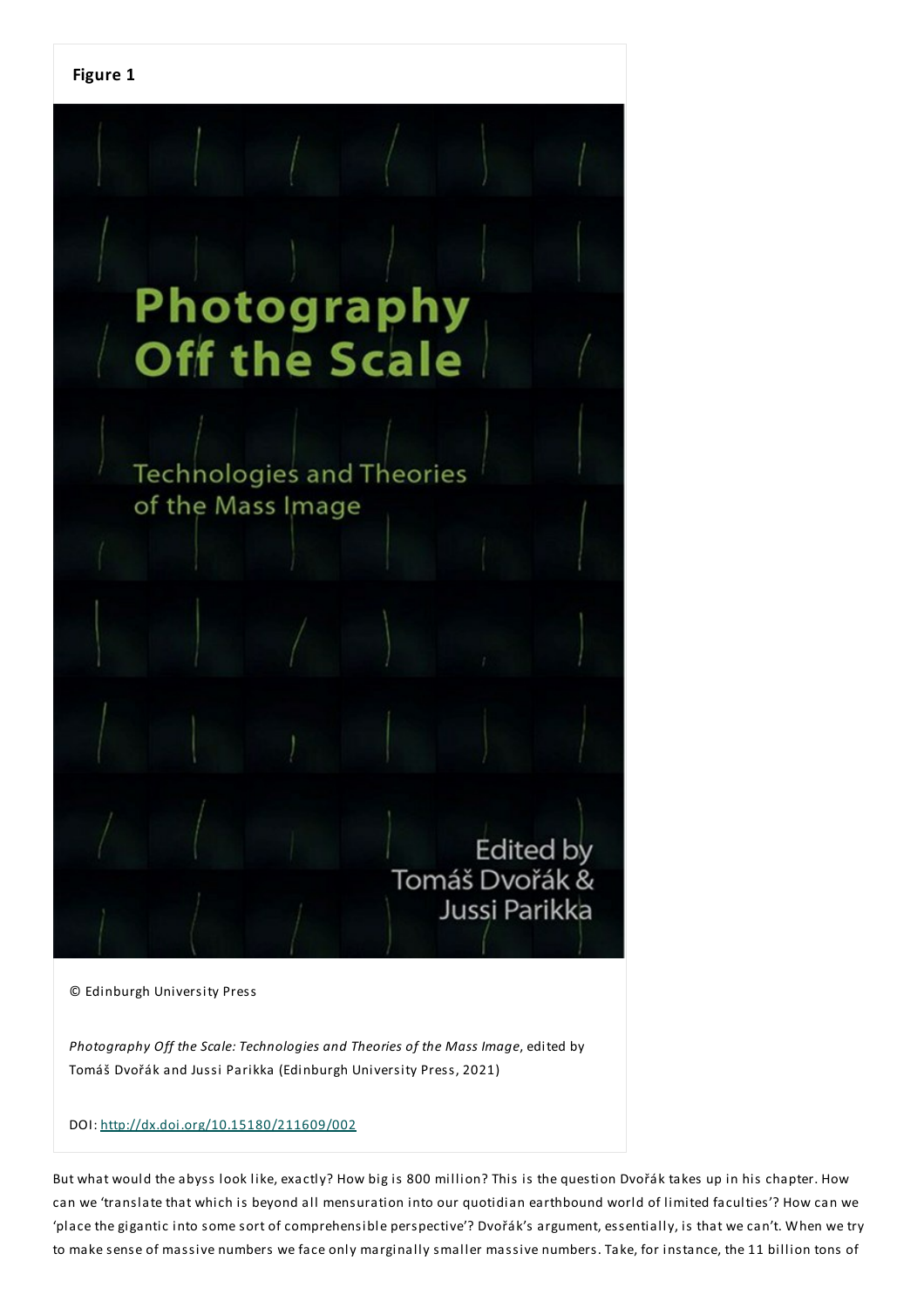

© Edinburgh University Press

*Photography Off the Scale:Technologies and Theories of the Mass Image*, edited by Tomáš Dvořák and Jussi Parikka (Edinburgh University Press, 2021)

#### DOI: http://dx.doi.org/10.15180/211609/002

But what would the abyss look like, exactly? How big is 800 million? This is the question Dvořák takes up in his chapter. How can we 'translate that which is beyond all mensuration into our quotidian earthbound world of limited faculties'? How can we 'place the gigantic into some sort of comprehensible perspective'? Dvořák's argument, essentially, is that we can't. When we try to make sense of massive numbers we face only marginally smaller massive numbers.Take, for instance, the 11 billion tons of